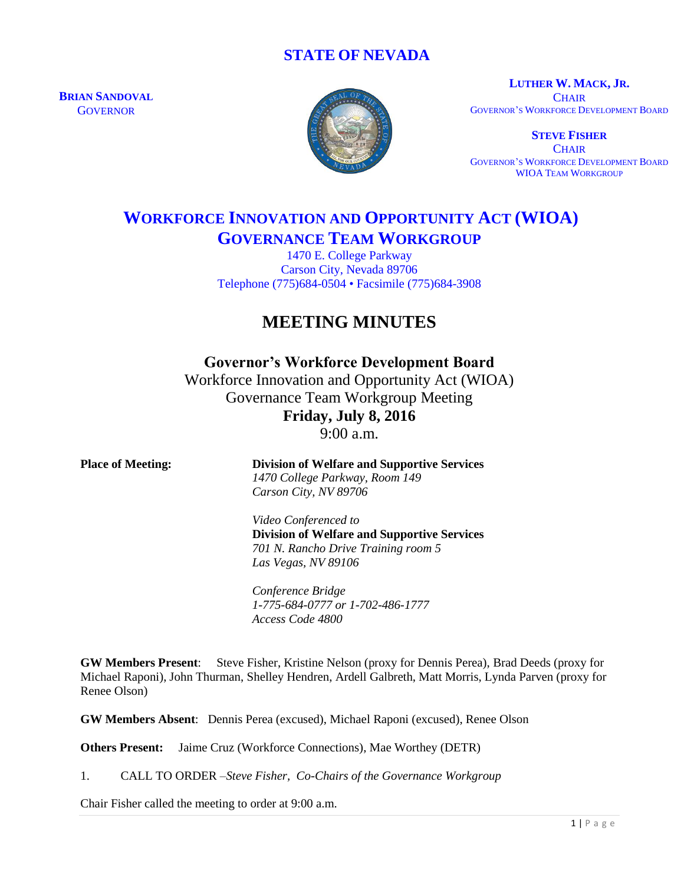# **STATE OF NEVADA**

**BRIAN SANDOVAL GOVERNOR** 



**LUTHER W. MACK, JR. CHAIR** GOVERNOR'S WORKFORCE DEVELOPMENT BOARD

**STEVE FISHER CHAIR** GOVERNOR'S WORKFORCE DEVELOPMENT BOARD WIOA TEAM WORKGROUP

# **WORKFORCE INNOVATION AND OPPORTUNITY ACT (WIOA) GOVERNANCE TEAM WORKGROUP**

1470 E. College Parkway Carson City, Nevada 89706 Telephone (775)684-0504 • Facsimile (775)684-3908

# **MEETING MINUTES**

# **Governor's Workforce Development Board**

Workforce Innovation and Opportunity Act (WIOA) Governance Team Workgroup Meeting **Friday, July 8, 2016**  $9.00 a m$ 

| <b>Place of Meeting:</b> | <b>Division of Welfare and Supportive Services</b><br>1470 College Parkway, Room 149<br>Carson City, NV 89706 |
|--------------------------|---------------------------------------------------------------------------------------------------------------|
|                          | Video Conferenced to                                                                                          |
|                          | <b>Division of Welfare and Supportive Services</b>                                                            |
|                          | 701 N. Rancho Drive Training room 5                                                                           |
|                          | Las Vegas, NV 89106                                                                                           |
|                          | Conference Bridge                                                                                             |
|                          | 1-775-684-0777 or 1-702-486-1777                                                                              |
|                          | Access Code 4800                                                                                              |

**GW Members Present**: Steve Fisher, Kristine Nelson (proxy for Dennis Perea), Brad Deeds (proxy for Michael Raponi), John Thurman, Shelley Hendren, Ardell Galbreth, Matt Morris, Lynda Parven (proxy for Renee Olson)

**GW Members Absent**: Dennis Perea (excused), Michael Raponi (excused), Renee Olson

**Others Present:** Jaime Cruz (Workforce Connections), Mae Worthey (DETR)

1. CALL TO ORDER –*Steve Fisher, Co-Chairs of the Governance Workgroup*

Chair Fisher called the meeting to order at 9:00 a.m.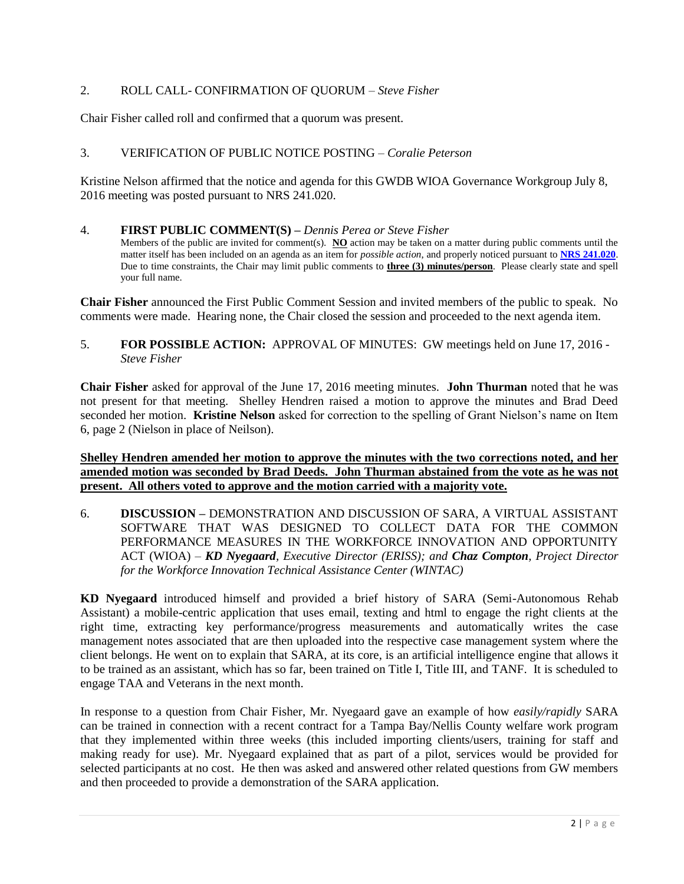## 2. ROLL CALL- CONFIRMATION OF QUORUM – *Steve Fisher*

Chair Fisher called roll and confirmed that a quorum was present.

## 3. VERIFICATION OF PUBLIC NOTICE POSTING – *Coralie Peterson*

Kristine Nelson affirmed that the notice and agenda for this GWDB WIOA Governance Workgroup July 8, 2016 meeting was posted pursuant to NRS 241.020.

#### 4. **FIRST PUBLIC COMMENT(S) –** *Dennis Perea or Steve Fisher*

Members of the public are invited for comment(s). **NO** action may be taken on a matter during public comments until the matter itself has been included on an agenda as an item for *possible action*, and properly noticed pursuant to **[NRS 241.020](http://www.leg.state.nv.us/NRS/NRS-241.html#NRS241Sec020)**. Due to time constraints, the Chair may limit public comments to **three (3) minutes/person**. Please clearly state and spell your full name.

**Chair Fisher** announced the First Public Comment Session and invited members of the public to speak. No comments were made. Hearing none, the Chair closed the session and proceeded to the next agenda item.

### 5. **FOR POSSIBLE ACTION:** APPROVAL OF MINUTES: GW meetings held on June 17, 2016 - *Steve Fisher*

**Chair Fisher** asked for approval of the June 17, 2016 meeting minutes. **John Thurman** noted that he was not present for that meeting. Shelley Hendren raised a motion to approve the minutes and Brad Deed seconded her motion. **Kristine Nelson** asked for correction to the spelling of Grant Nielson's name on Item 6, page 2 (Nielson in place of Neilson).

#### **Shelley Hendren amended her motion to approve the minutes with the two corrections noted, and her amended motion was seconded by Brad Deeds. John Thurman abstained from the vote as he was not present. All others voted to approve and the motion carried with a majority vote.**

6. **DISCUSSION –** DEMONSTRATION AND DISCUSSION OF SARA, A VIRTUAL ASSISTANT SOFTWARE THAT WAS DESIGNED TO COLLECT DATA FOR THE COMMON PERFORMANCE MEASURES IN THE WORKFORCE INNOVATION AND OPPORTUNITY ACT (WIOA) – *KD Nyegaard, Executive Director (ERISS); and Chaz Compton, Project Director for the Workforce Innovation Technical Assistance Center (WINTAC)*

**KD Nyegaard** introduced himself and provided a brief history of SARA (Semi-Autonomous Rehab Assistant) a mobile-centric application that uses email, texting and html to engage the right clients at the right time, extracting key performance/progress measurements and automatically writes the case management notes associated that are then uploaded into the respective case management system where the client belongs. He went on to explain that SARA, at its core, is an artificial intelligence engine that allows it to be trained as an assistant, which has so far, been trained on Title I, Title III, and TANF. It is scheduled to engage TAA and Veterans in the next month.

In response to a question from Chair Fisher, Mr. Nyegaard gave an example of how *easily/rapidly* SARA can be trained in connection with a recent contract for a Tampa Bay/Nellis County welfare work program that they implemented within three weeks (this included importing clients/users, training for staff and making ready for use). Mr. Nyegaard explained that as part of a pilot, services would be provided for selected participants at no cost. He then was asked and answered other related questions from GW members and then proceeded to provide a demonstration of the SARA application.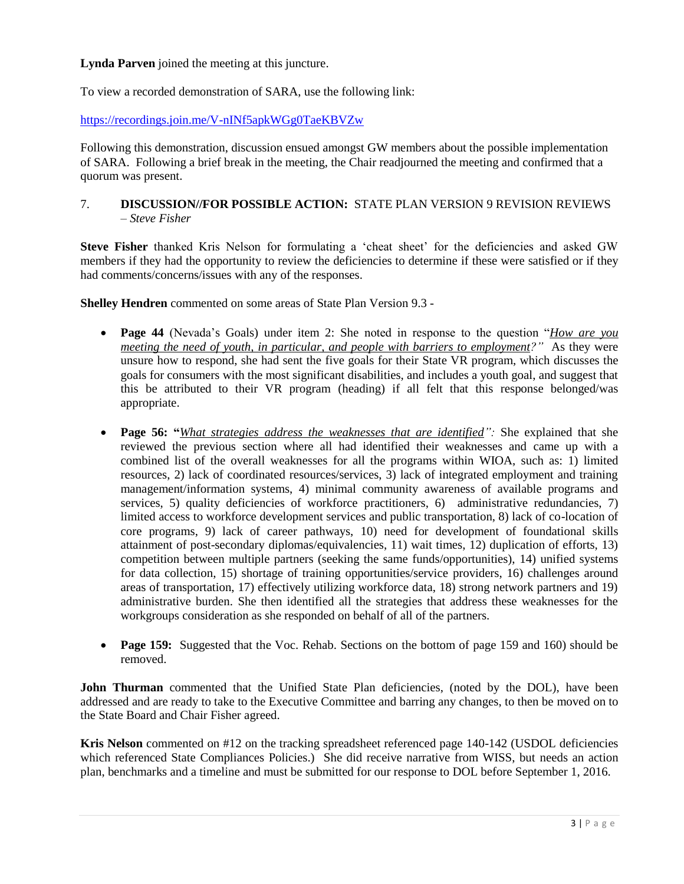**Lynda Parven** joined the meeting at this juncture.

To view a recorded demonstration of SARA, use the following link:

<https://recordings.join.me/V-nINf5apkWGg0TaeKBVZw>

Following this demonstration, discussion ensued amongst GW members about the possible implementation of SARA. Following a brief break in the meeting, the Chair readjourned the meeting and confirmed that a quorum was present.

7. **DISCUSSION//FOR POSSIBLE ACTION:** STATE PLAN VERSION 9 REVISION REVIEWS – *Steve Fisher*

**Steve Fisher** thanked Kris Nelson for formulating a 'cheat sheet' for the deficiencies and asked GW members if they had the opportunity to review the deficiencies to determine if these were satisfied or if they had comments/concerns/issues with any of the responses.

**Shelley Hendren** commented on some areas of State Plan Version 9.3 -

- **Page 44** (Nevada's Goals) under item 2: She noted in response to the question "*How are you meeting the need of youth, in particular, and people with barriers to employment?"* As they were unsure how to respond, she had sent the five goals for their State VR program, which discusses the goals for consumers with the most significant disabilities, and includes a youth goal, and suggest that this be attributed to their VR program (heading) if all felt that this response belonged/was appropriate.
- **Page 56: "***What strategies address the weaknesses that are identified":* She explained that she reviewed the previous section where all had identified their weaknesses and came up with a combined list of the overall weaknesses for all the programs within WIOA, such as: 1) limited resources, 2) lack of coordinated resources/services, 3) lack of integrated employment and training management/information systems, 4) minimal community awareness of available programs and services, 5) quality deficiencies of workforce practitioners, 6) administrative redundancies, 7) limited access to workforce development services and public transportation, 8) lack of co-location of core programs, 9) lack of career pathways, 10) need for development of foundational skills attainment of post-secondary diplomas/equivalencies, 11) wait times, 12) duplication of efforts, 13) competition between multiple partners (seeking the same funds/opportunities), 14) unified systems for data collection, 15) shortage of training opportunities/service providers, 16) challenges around areas of transportation, 17) effectively utilizing workforce data, 18) strong network partners and 19) administrative burden. She then identified all the strategies that address these weaknesses for the workgroups consideration as she responded on behalf of all of the partners.
- Page 159: Suggested that the Voc. Rehab. Sections on the bottom of page 159 and 160) should be removed.

John Thurman commented that the Unified State Plan deficiencies, (noted by the DOL), have been addressed and are ready to take to the Executive Committee and barring any changes, to then be moved on to the State Board and Chair Fisher agreed.

**Kris Nelson** commented on #12 on the tracking spreadsheet referenced page 140-142 (USDOL deficiencies which referenced State Compliances Policies.) She did receive narrative from WISS, but needs an action plan, benchmarks and a timeline and must be submitted for our response to DOL before September 1, 2016.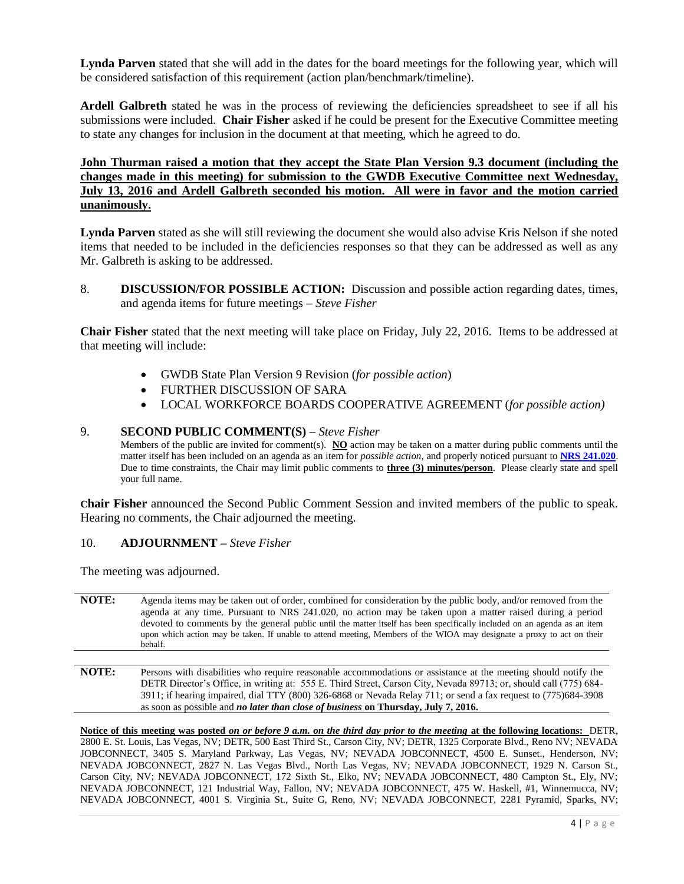**Lynda Parven** stated that she will add in the dates for the board meetings for the following year, which will be considered satisfaction of this requirement (action plan/benchmark/timeline).

**Ardell Galbreth** stated he was in the process of reviewing the deficiencies spreadsheet to see if all his submissions were included. **Chair Fisher** asked if he could be present for the Executive Committee meeting to state any changes for inclusion in the document at that meeting, which he agreed to do.

## **John Thurman raised a motion that they accept the State Plan Version 9.3 document (including the changes made in this meeting) for submission to the GWDB Executive Committee next Wednesday, July 13, 2016 and Ardell Galbreth seconded his motion. All were in favor and the motion carried unanimously.**

**Lynda Parven** stated as she will still reviewing the document she would also advise Kris Nelson if she noted items that needed to be included in the deficiencies responses so that they can be addressed as well as any Mr. Galbreth is asking to be addressed.

8. **DISCUSSION/FOR POSSIBLE ACTION:** Discussion and possible action regarding dates, times, and agenda items for future meetings – *Steve Fisher*

**Chair Fisher** stated that the next meeting will take place on Friday, July 22, 2016. Items to be addressed at that meeting will include:

- GWDB State Plan Version 9 Revision (*for possible action*)
- FURTHER DISCUSSION OF SARA
- LOCAL WORKFORCE BOARDS COOPERATIVE AGREEMENT (*for possible action)*

#### 9. **SECOND PUBLIC COMMENT(S) –** *Steve Fisher*

Members of the public are invited for comment(s). **NO** action may be taken on a matter during public comments until the matter itself has been included on an agenda as an item for *possible action*, and properly noticed pursuant to **[NRS 241.020](http://www.leg.state.nv.us/NRS/NRS-241.html#NRS241Sec020)**. Due to time constraints, the Chair may limit public comments to **three (3) minutes/person**. Please clearly state and spell your full name.

**Chair Fisher** announced the Second Public Comment Session and invited members of the public to speak. Hearing no comments, the Chair adjourned the meeting.

#### 10. **ADJOURNMENT –** *Steve Fisher*

The meeting was adjourned.

**NOTE:** Agenda items may be taken out of order, combined for consideration by the public body, and/or removed from the agenda at any time. Pursuant to NRS 241.020, no action may be taken upon a matter raised during a period devoted to comments by the general public until the matter itself has been specifically included on an agenda as an item upon which action may be taken. If unable to attend meeting, Members of the WIOA may designate a proxy to act on their behalf.

**NOTE:** Persons with disabilities who require reasonable accommodations or assistance at the meeting should notify the DETR Director's Office, in writing at: 555 E. Third Street, Carson City, Nevada 89713; or, should call (775) 684- 3911; if hearing impaired, dial TTY (800) 326-6868 or Nevada Relay 711; or send a fax request to (775)684-3908 as soon as possible and *no later than close of business* **on Thursday, July 7, 2016.**

**Notice of this meeting was posted** *on or before 9 a.m. on the third day prior to the meeting* **at the following locations:** DETR, 2800 E. St. Louis, Las Vegas, NV; DETR, 500 East Third St., Carson City, NV; DETR, 1325 Corporate Blvd., Reno NV; NEVADA JOBCONNECT, 3405 S. Maryland Parkway, Las Vegas, NV; NEVADA JOBCONNECT, 4500 E. Sunset., Henderson, NV; NEVADA JOBCONNECT, 2827 N. Las Vegas Blvd., North Las Vegas, NV; NEVADA JOBCONNECT, 1929 N. Carson St., Carson City, NV; NEVADA JOBCONNECT, 172 Sixth St., Elko, NV; NEVADA JOBCONNECT, 480 Campton St., Ely, NV; NEVADA JOBCONNECT, 121 Industrial Way, Fallon, NV; NEVADA JOBCONNECT, 475 W. Haskell, #1, Winnemucca, NV; NEVADA JOBCONNECT, 4001 S. Virginia St., Suite G, Reno, NV; NEVADA JOBCONNECT, 2281 Pyramid, Sparks, NV;